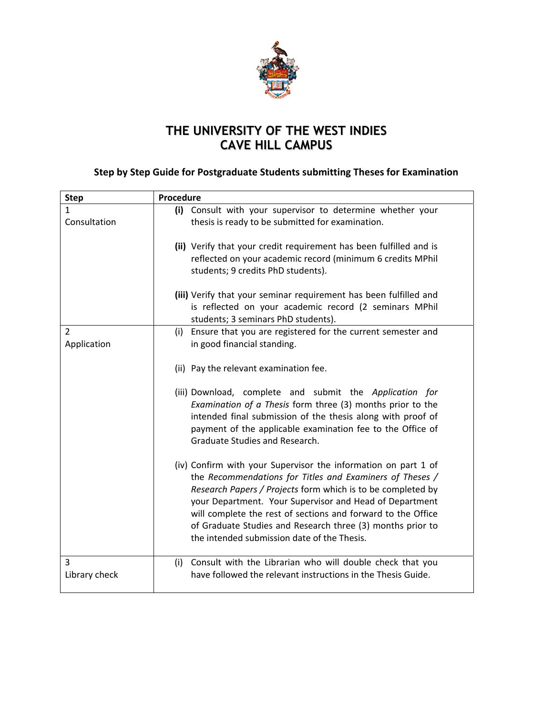

## **THE UNIVERSITY OF THE WEST INDIES CAVE HILL CAMPUS**

## **Step by Step Guide for Postgraduate Students submitting Theses for Examination**

| <b>Step</b>                   | Procedure                                                                                                                                                                                                                                                                                                                                                                                                                         |
|-------------------------------|-----------------------------------------------------------------------------------------------------------------------------------------------------------------------------------------------------------------------------------------------------------------------------------------------------------------------------------------------------------------------------------------------------------------------------------|
| 1                             | (i) Consult with your supervisor to determine whether your                                                                                                                                                                                                                                                                                                                                                                        |
| Consultation                  | thesis is ready to be submitted for examination.                                                                                                                                                                                                                                                                                                                                                                                  |
|                               | (ii) Verify that your credit requirement has been fulfilled and is                                                                                                                                                                                                                                                                                                                                                                |
|                               | reflected on your academic record (minimum 6 credits MPhil<br>students; 9 credits PhD students).                                                                                                                                                                                                                                                                                                                                  |
|                               | (iii) Verify that your seminar requirement has been fulfilled and                                                                                                                                                                                                                                                                                                                                                                 |
|                               | is reflected on your academic record (2 seminars MPhil<br>students; 3 seminars PhD students).                                                                                                                                                                                                                                                                                                                                     |
| $\overline{2}$<br>Application | (i) Ensure that you are registered for the current semester and<br>in good financial standing.                                                                                                                                                                                                                                                                                                                                    |
|                               | (ii) Pay the relevant examination fee.                                                                                                                                                                                                                                                                                                                                                                                            |
|                               | (iii) Download, complete and submit the Application for<br>Examination of a Thesis form three (3) months prior to the<br>intended final submission of the thesis along with proof of<br>payment of the applicable examination fee to the Office of<br>Graduate Studies and Research.                                                                                                                                              |
|                               | (iv) Confirm with your Supervisor the information on part 1 of<br>the Recommendations for Titles and Examiners of Theses /<br>Research Papers / Projects form which is to be completed by<br>your Department. Your Supervisor and Head of Department<br>will complete the rest of sections and forward to the Office<br>of Graduate Studies and Research three (3) months prior to<br>the intended submission date of the Thesis. |
| 3<br>Library check            | Consult with the Librarian who will double check that you<br>(i)<br>have followed the relevant instructions in the Thesis Guide.                                                                                                                                                                                                                                                                                                  |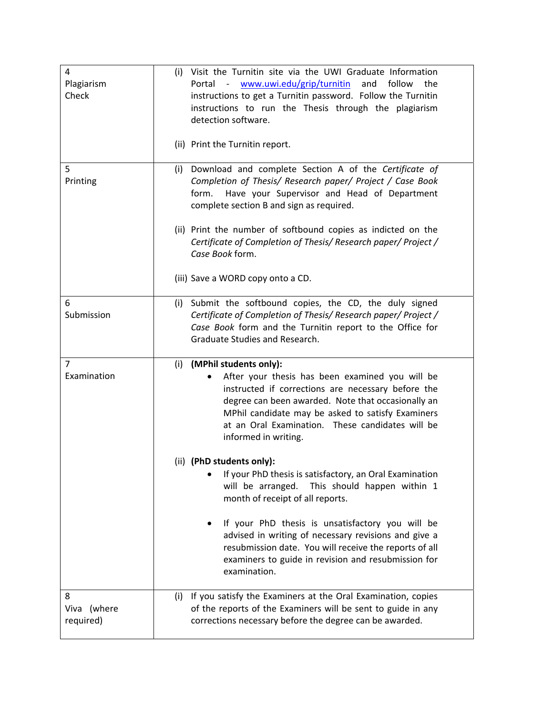| 4<br>Plagiarism<br>Check      | (i) Visit the Turnitin site via the UWI Graduate Information<br>www.uwi.edu/grip/turnitin<br>and follow<br>Portal -<br>the<br>instructions to get a Turnitin password. Follow the Turnitin<br>instructions to run the Thesis through the plagiarism<br>detection software.<br>(ii) Print the Turnitin report.                 |
|-------------------------------|-------------------------------------------------------------------------------------------------------------------------------------------------------------------------------------------------------------------------------------------------------------------------------------------------------------------------------|
| 5<br>Printing                 | Download and complete Section A of the Certificate of<br>(i)<br>Completion of Thesis/ Research paper/ Project / Case Book<br>Have your Supervisor and Head of Department<br>form.<br>complete section B and sign as required.                                                                                                 |
|                               | (ii) Print the number of softbound copies as indicted on the<br>Certificate of Completion of Thesis/ Research paper/ Project /<br>Case Book form.                                                                                                                                                                             |
|                               | (iii) Save a WORD copy onto a CD.                                                                                                                                                                                                                                                                                             |
| 6<br>Submission               | (i) Submit the softbound copies, the CD, the duly signed<br>Certificate of Completion of Thesis/Research paper/Project /<br>Case Book form and the Turnitin report to the Office for<br>Graduate Studies and Research.                                                                                                        |
| 7<br>Examination              | (MPhil students only):<br>(i)<br>After your thesis has been examined you will be<br>instructed if corrections are necessary before the<br>degree can been awarded. Note that occasionally an<br>MPhil candidate may be asked to satisfy Examiners<br>at an Oral Examination. These candidates will be<br>informed in writing. |
|                               | (ii) (PhD students only):<br>If your PhD thesis is satisfactory, an Oral Examination<br>will be arranged. This should happen within 1<br>month of receipt of all reports.                                                                                                                                                     |
|                               | If your PhD thesis is unsatisfactory you will be<br>advised in writing of necessary revisions and give a<br>resubmission date. You will receive the reports of all<br>examiners to guide in revision and resubmission for<br>examination.                                                                                     |
| 8<br>Viva (where<br>required) | (i) If you satisfy the Examiners at the Oral Examination, copies<br>of the reports of the Examiners will be sent to guide in any<br>corrections necessary before the degree can be awarded.                                                                                                                                   |